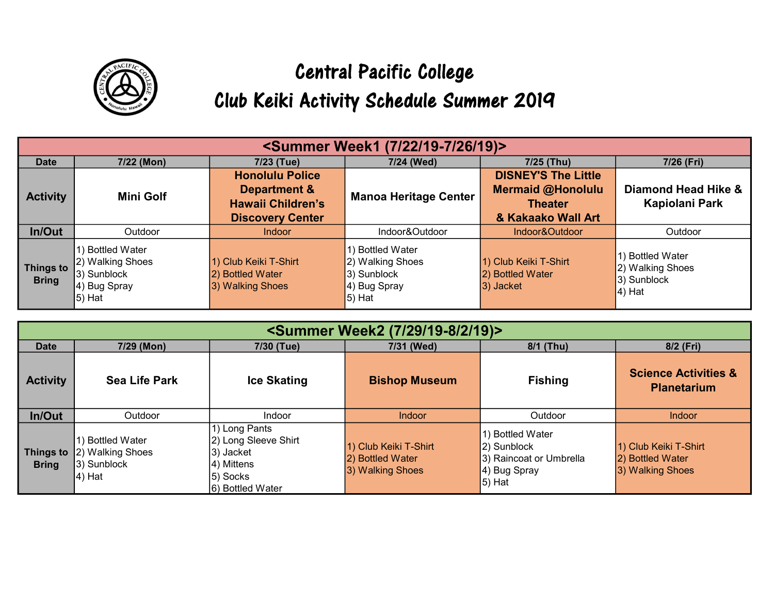

## Central Pacific College Club Keiki Activity Schedule Summer 2019

| <summer (7="" 19)="" 19-7="" 22="" 26="" week1=""></summer> |                                                                                 |                                                                    |                                                                                     |                                                                          |                                                                  |
|-------------------------------------------------------------|---------------------------------------------------------------------------------|--------------------------------------------------------------------|-------------------------------------------------------------------------------------|--------------------------------------------------------------------------|------------------------------------------------------------------|
| <b>Date</b>                                                 | 7/22 (Mon)                                                                      | 7/23 (Tue)                                                         | 7/24 (Wed)                                                                          | 7/25 (Thu)                                                               | 7/26 (Fri)                                                       |
| <b>Activity</b>                                             | <b>Mini Golf</b>                                                                | <b>Honolulu Police</b><br>Department &<br><b>Hawaii Children's</b> | <b>Manoa Heritage Center</b>                                                        | <b>DISNEY'S The Little</b><br><b>Mermaid @Honolulu</b><br><b>Theater</b> | Diamond Head Hike &<br>Kapiolani Park                            |
|                                                             |                                                                                 | <b>Discovery Center</b>                                            |                                                                                     | & Kakaako Wall Art                                                       |                                                                  |
| In/Out                                                      | Outdoor                                                                         | Indoor                                                             | Indoor&Outdoor                                                                      | Indoor&Outdoor                                                           | Outdoor                                                          |
| <b>Things to</b><br><b>Bring</b>                            | 1) Bottled Water<br>12) Walking Shoes<br>3) Sunblock<br>4) Bug Spray<br> 5) Hat | 1) Club Keiki T-Shirt<br>2) Bottled Water<br>3) Walking Shoes      | 1) Bottled Water<br>2) Walking Shoes<br>$ 3)$ Sunblock<br>4) Bug Spray<br>$ 5)$ Hat | 1) Club Keiki T-Shirt<br>2) Bottled Water<br>3) Jacket                   | 1) Bottled Water<br>2) Walking Shoes<br>3) Sunblock<br>$ 4)$ Hat |

| <summer (7="" 19)="" 19-8="" 2="" 29="" week2=""></summer> |                                                                |                                                                                                  |                                                               |                                                                                         |                                                               |
|------------------------------------------------------------|----------------------------------------------------------------|--------------------------------------------------------------------------------------------------|---------------------------------------------------------------|-----------------------------------------------------------------------------------------|---------------------------------------------------------------|
| <b>Date</b>                                                | 7/29 (Mon)                                                     | 7/30 (Tue)                                                                                       | 7/31 (Wed)                                                    | 8/1 (Thu)                                                                               | 8/2 (Fri)                                                     |
| <b>Activity</b>                                            | <b>Sea Life Park</b>                                           | <b>Ice Skating</b>                                                                               | <b>Bishop Museum</b>                                          | <b>Fishing</b>                                                                          | <b>Science Activities &amp;</b><br><b>Planetarium</b>         |
| In/Out                                                     | Outdoor                                                        | Indoor                                                                                           | <b>Indoor</b>                                                 | Outdoor                                                                                 | <b>Indoor</b>                                                 |
| <b>Things to</b><br><b>Bring</b>                           | 1) Bottled Water<br>2) Walking Shoes<br>3) Sunblock<br> 4) Hat | 1) Long Pants<br>2) Long Sleeve Shirt<br>3) Jacket<br>4) Mittens<br>5) Socks<br>6) Bottled Water | 1) Club Keiki T-Shirt<br>2) Bottled Water<br>3) Walking Shoes | 1) Bottled Water<br>2) Sunblock<br>3) Raincoat or Umbrella<br>4) Bug Spray<br>$ 5)$ Hat | 1) Club Keiki T-Shirt<br>2) Bottled Water<br>3) Walking Shoes |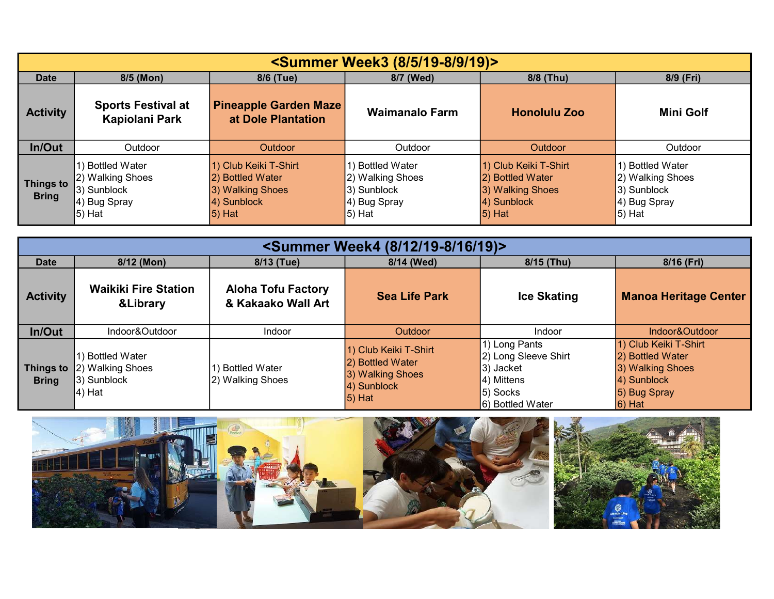| <summer (8="" 19)="" 19-8="" 5="" 9="" week3=""></summer> |                                                                                 |                                                                                          |                                                                                  |                                                                                           |                                                                                     |
|-----------------------------------------------------------|---------------------------------------------------------------------------------|------------------------------------------------------------------------------------------|----------------------------------------------------------------------------------|-------------------------------------------------------------------------------------------|-------------------------------------------------------------------------------------|
| <b>Date</b>                                               | 8/5 (Mon)                                                                       | 8/6 (Tue)                                                                                | 8/7 (Wed)                                                                        | 8/8 (Thu)                                                                                 | 8/9 (Fri)                                                                           |
| <b>Activity</b>                                           | <b>Sports Festival at</b><br>Kapiolani Park                                     | <b>Pineapple Garden Maze</b><br>at Dole Plantation                                       | <b>Waimanalo Farm</b>                                                            | <b>Honolulu Zoo</b>                                                                       | <b>Mini Golf</b>                                                                    |
| In/Out                                                    | Outdoor                                                                         | Outdoor                                                                                  | Outdoor                                                                          | Outdoor                                                                                   | Outdoor                                                                             |
| <b>Things to</b><br><b>Bring</b>                          | 1) Bottled Water<br>2) Walking Shoes<br>3) Sunblock<br>4) Bug Spray<br>$5)$ Hat | 1) Club Keiki T-Shirt<br>2) Bottled Water<br>3) Walking Shoes<br>4) Sunblock<br>$5)$ Hat | 1) Bottled Water<br>2) Walking Shoes<br>3) Sunblock<br>4) Bug Spray<br>$ 5)$ Hat | 1) Club Keiki T-Shirt<br>2) Bottled Water<br>3) Walking Shoes<br>4) Sunblock<br>$ 5)$ Hat | 1) Bottled Water<br>2) Walking Shoes<br>$ 3)$ Sunblock<br>4) Bug Spray<br>$ 5)$ Hat |

| <summer (8="" 12="" 16="" 19)="" 19-8="" week4=""></summer> |                                                                    |                                                 |                                                                                           |                                                                                                        |                                                                                                           |
|-------------------------------------------------------------|--------------------------------------------------------------------|-------------------------------------------------|-------------------------------------------------------------------------------------------|--------------------------------------------------------------------------------------------------------|-----------------------------------------------------------------------------------------------------------|
| <b>Date</b>                                                 | 8/12 (Mon)                                                         | 8/13 (Tue)                                      | 8/14 (Wed)                                                                                | 8/15 (Thu)                                                                                             | 8/16 (Fri)                                                                                                |
| <b>Activity</b>                                             | <b>Waikiki Fire Station</b><br><b>&amp;Library</b>                 | <b>Aloha Tofu Factory</b><br>& Kakaako Wall Art | <b>Sea Life Park</b>                                                                      | <b>Ice Skating</b>                                                                                     | <b>Manoa Heritage Center</b>                                                                              |
| In/Out                                                      | Indoor&Outdoor                                                     | <b>Indoor</b>                                   | Outdoor                                                                                   | Indoor                                                                                                 | Indoor&Outdoor                                                                                            |
| <b>Things to</b><br><b>Bring</b>                            | <b>Bottled Water</b><br>2) Walking Shoes<br>3) Sunblock<br> 4) Hat | <b>Bottled Water</b><br>2) Walking Shoes        | 1) Club Keiki T-Shirt<br>2) Bottled Water<br>3) Walking Shoes<br>4) Sunblock<br>$ 5)$ Hat | 1) Long Pants<br>2) Long Sleeve Shirt<br>$ 3)$ Jacket<br>$ 4)$ Mittens<br>5) Socks<br>6) Bottled Water | 1) Club Keiki T-Shirt<br>2) Bottled Water<br>3) Walking Shoes<br>4) Sunblock<br>5) Bug Spray<br>$ 6)$ Hat |